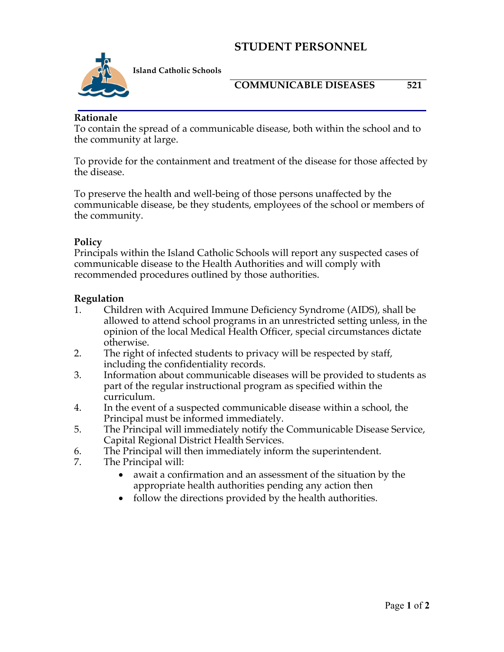## **STUDENT PERSONNEL**



**Island Catholic Schools** 

#### **COMMUNICABLE DISEASES 521**

**Rationale**

To contain the spread of a communicable disease, both within the school and to the community at large.

To provide for the containment and treatment of the disease for those affected by the disease.

To preserve the health and well-being of those persons unaffected by the communicable disease, be they students, employees of the school or members of the community.

### **Policy**

Principals within the Island Catholic Schools will report any suspected cases of communicable disease to the Health Authorities and will comply with recommended procedures outlined by those authorities.

#### **Regulation**

- 1. Children with Acquired Immune Deficiency Syndrome (AIDS), shall be allowed to attend school programs in an unrestricted setting unless, in the opinion of the local Medical Health Officer, special circumstances dictate otherwise.
- 2. The right of infected students to privacy will be respected by staff, including the confidentiality records.
- 3. Information about communicable diseases will be provided to students as part of the regular instructional program as specified within the curriculum.
- 4. In the event of a suspected communicable disease within a school, the Principal must be informed immediately.
- 5. The Principal will immediately notify the Communicable Disease Service, Capital Regional District Health Services.
- 6. The Principal will then immediately inform the superintendent.
- 7. The Principal will:
	- await a confirmation and an assessment of the situation by the appropriate health authorities pending any action then
	- follow the directions provided by the health authorities.